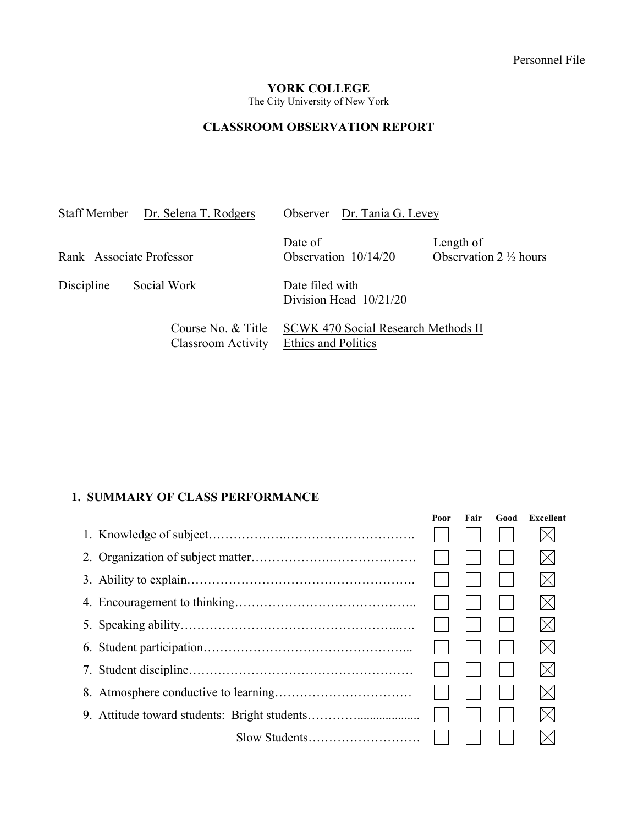### **YORK COLLEGE**

The City University of New York

# **CLASSROOM OBSERVATION REPORT**

|                          | Staff Member Dr. Selena T. Rodgers              | Observer Dr. Tania G. Levey                                |                                                |
|--------------------------|-------------------------------------------------|------------------------------------------------------------|------------------------------------------------|
| Rank Associate Professor |                                                 | Date of<br>Observation 10/14/20                            | Length of<br>Observation $2 \frac{1}{2}$ hours |
| Discipline               | Social Work                                     | Date filed with<br>Division Head $10/21/20$                |                                                |
|                          | Course No. & Title<br><b>Classroom Activity</b> | SCWK 470 Social Research Methods II<br>Ethics and Politics |                                                |

## **1. SUMMARY OF CLASS PERFORMANCE**

| Poor | Fair | Good | Excellent   |
|------|------|------|-------------|
|      |      |      |             |
|      |      |      | $\boxtimes$ |
|      |      |      | $\boxtimes$ |
|      |      |      | $\boxtimes$ |
|      |      |      | $\boxtimes$ |
|      |      |      | $\boxtimes$ |
|      |      |      | $\boxtimes$ |
|      |      |      | $\boxtimes$ |
|      |      |      | $\boxtimes$ |
|      |      |      |             |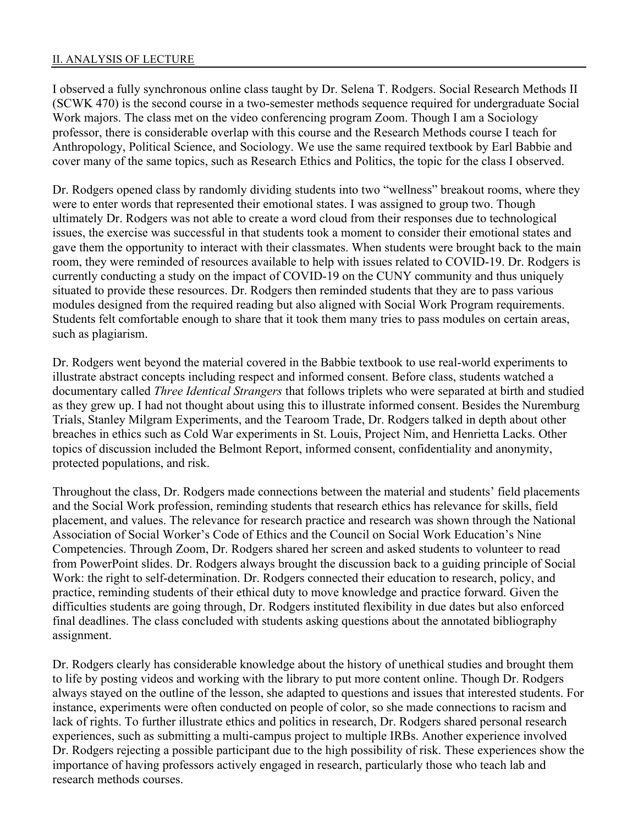#### II. ANALYSIS OF LECTURE

I observed a fully synchronous online class taught by Dr. Selena T. Rodgers. Social Research Methods II (SCWK 470) is the second course in a two-semester methods sequence required for undergraduate Social Work majors. The class met on the video conferencing program Zoom. Though I am a Sociology professor, there is considerable overlap with this course and the Research Methods course I teach for Anthropology, Political Science, and Sociology. We use the same required textbook by Earl Babbie and cover many of the same topics, such as Research Ethics and Politics, the topic for the class I observed.

Dr. Rodgers opened class by randomly dividing students into two "wellness" breakout rooms, where they were to enter words that represented their emotional states. I was assigned to group two. Though ultimately Dr. Rodgers was not able to create a word cloud from their responses due to technological issues, the exercise was successful in that students took a moment to consider their emotional states and gave them the opportunity to interact with their classmates. When students were brought back to the main room, they were reminded of resources available to help with issues related to COVID-19. Dr. Rodgers is currently conducting a study on the impact of COVID-19 on the CUNY community and thus uniquely situated to provide these resources. Dr. Rodgers then reminded students that they are to pass various modules designed from the required reading but also aligned with Social Work Program requirements. Students felt comfortable enough to share that it took them many tries to pass modules on certain areas, such as plagiarism.

Dr. Rodgers went beyond the material covered in the Babbie textbook to use real-world experiments to illustrate abstract concepts including respect and informed consent. Before class, students watched a documentary called *Three Identical Strangers* that follows triplets who were separated at birth and studied as they grew up. I had not thought about using this to illustrate informed consent. Besides the Nuremburg Trials, Stanley Milgram Experiments, and the Tearoom Trade, Dr. Rodgers talked in depth about other breaches in ethics such as Cold War experiments in St. Louis, Project Nim, and Henrietta Lacks. Other topics of discussion included the Belmont Report, informed consent, confidentiality and anonymity, protected populations, and risk.

Throughout the class, Dr. Rodgers made connections between the material and students' field placements and the Social Work profession, reminding students that research ethics has relevance for skills, field placement, and values. The relevance for research practice and research was shown through the National Association of Social Worker's Code of Ethics and the Council on Social Work Education's Nine Competencies. Through Zoom, Dr. Rodgers shared her screen and asked students to volunteer to read from PowerPoint slides. Dr. Rodgers always brought the discussion back to a guiding principle of Social Work: the right to self-determination. Dr. Rodgers connected their education to research, policy, and practice, reminding students of their ethical duty to move knowledge and practice forward. Given the difficulties students are going through, Dr. Rodgers instituted flexibility in due dates but also enforced final deadlines. The class concluded with students asking questions about the annotated bibliography assignment.

Dr. Rodgers clearly has considerable knowledge about the history of unethical studies and brought them to life by posting videos and working with the library to put more content online. Though Dr. Rodgers always stayed on the outline of the lesson, she adapted to questions and issues that interested students. For instance, experiments were often conducted on people of color, so she made connections to racism and lack of rights. To further illustrate ethics and politics in research, Dr. Rodgers shared personal research experiences, such as submitting a multi-campus project to multiple IRBs. Another experience involved Dr. Rodgers rejecting a possible participant due to the high possibility of risk. These experiences show the importance of having professors actively engaged in research, particularly those who teach lab and research methods courses.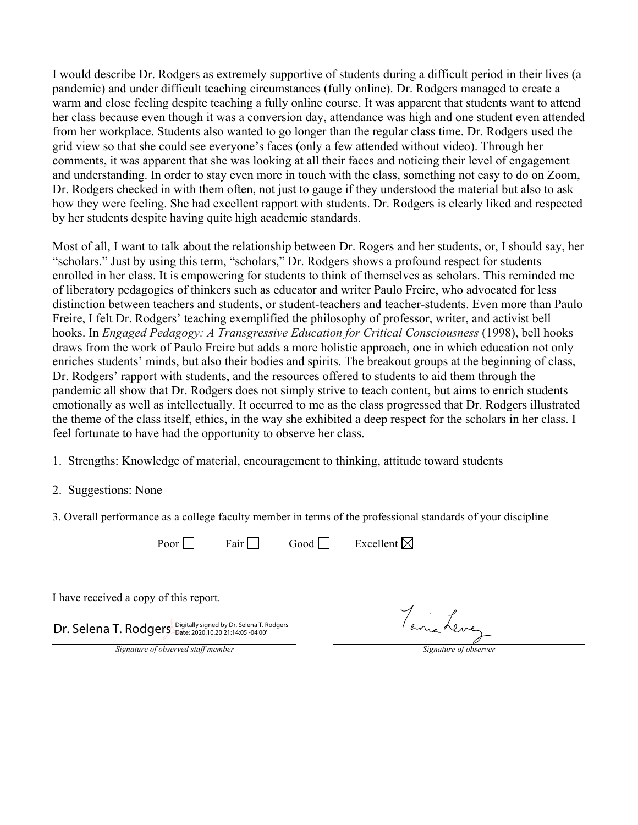I would describe Dr. Rodgers as extremely supportive of students during a difficult period in their lives (a pandemic) and under difficult teaching circumstances (fully online). Dr. Rodgers managed to create a warm and close feeling despite teaching a fully online course. It was apparent that students want to attend her class because even though it was a conversion day, attendance was high and one student even attended from her workplace. Students also wanted to go longer than the regular class time. Dr. Rodgers used the grid view so that she could see everyone's faces (only a few attended without video). Through her comments, it was apparent that she was looking at all their faces and noticing their level of engagement and understanding. In order to stay even more in touch with the class, something not easy to do on Zoom, Dr. Rodgers checked in with them often, not just to gauge if they understood the material but also to ask how they were feeling. She had excellent rapport with students. Dr. Rodgers is clearly liked and respected by her students despite having quite high academic standards.

Most of all, I want to talk about the relationship between Dr. Rogers and her students, or, I should say, her "scholars." Just by using this term, "scholars," Dr. Rodgers shows a profound respect for students enrolled in her class. It is empowering for students to think of themselves as scholars. This reminded me of liberatory pedagogies of thinkers such as educator and writer Paulo Freire, who advocated for less distinction between teachers and students, or student-teachers and teacher-students. Even more than Paulo Freire, I felt Dr. Rodgers' teaching exemplified the philosophy of professor, writer, and activist bell hooks. In *Engaged Pedagogy: A Transgressive Education for Critical Consciousness* (1998), bell hooks draws from the work of Paulo Freire but adds a more holistic approach, one in which education not only enriches students' minds, but also their bodies and spirits. The breakout groups at the beginning of class, Dr. Rodgers' rapport with students, and the resources offered to students to aid them through the pandemic all show that Dr. Rodgers does not simply strive to teach content, but aims to enrich students emotionally as well as intellectually. It occurred to me as the class progressed that Dr. Rodgers illustrated the theme of the class itself, ethics, in the way she exhibited a deep respect for the scholars in her class. I feel fortunate to have had the opportunity to observe her class.

- 1. Strengths: Knowledge of material, encouragement to thinking, attitude toward students
- 2. Suggestions: None
- 3. Overall performance as a college faculty member in terms of the professional standards of your discipline

Poor  $\Box$  Fair Good Excellent  $\boxtimes$ 

I have received a copy of this report.

Dr. Selena T. Rodgers Digitally signed by Dr. Selena T. Rodgers

Tama Leve

*Signature of observed staff member Signature of observer*